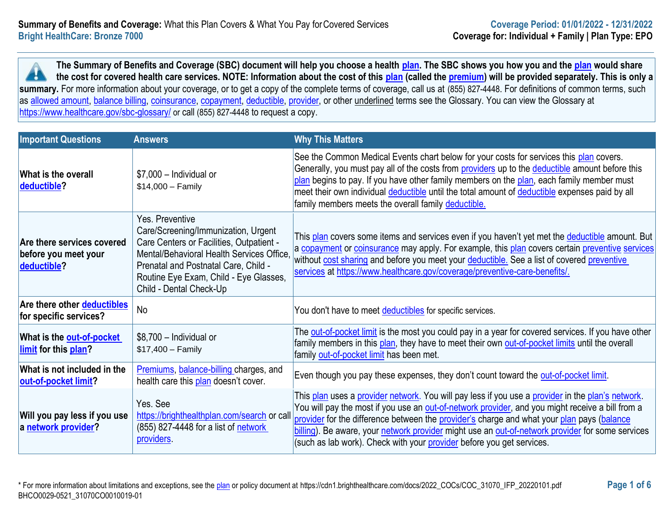**The Summary of Benefits and Coverage (SBC) document will help you choose a health [plan.](https://www.healthcare.gov/sbc-glossary/#plan) The SBC shows you how you and the [plan](https://www.healthcare.gov/sbc-glossary/#plan) would share the cost for covered health care services. NOTE: Information about the cost of this [plan](https://www.healthcare.gov/sbc-glossary/#plan) (called the [premium\)](https://www.healthcare.gov/sbc-glossary/#premium) will be provided separately. This is only a**  H. summary. For more information about your coverage, or to get a copy of the complete terms of coverage, call us at (855) 827-4448. For definitions of common terms, such as [allowed amount,](https://www.healthcare.gov/sbc-glossary/#allowed-amount) [balance billing,](https://www.healthcare.gov/sbc-glossary/#balance-billing) [coinsurance,](https://www.healthcare.gov/sbc-glossary/#coinsurance) [copayment,](https://www.healthcare.gov/sbc-glossary/#copayment) [deductible,](https://www.healthcare.gov/sbc-glossary/#deductible) [provider,](https://www.healthcare.gov/sbc-glossary/#provider) or other underlined terms see the Glossary. You can view the Glossary at <https://www.healthcare.gov/sbc-glossary/> or call (855) 827-4448 to request a copy.

| <b>Important Questions</b>                                        | <b>Answers</b>                                                                                                                                                                                                                                               | <b>Why This Matters</b>                                                                                                                                                                                                                                                                                                                                                                                                                                                          |  |
|-------------------------------------------------------------------|--------------------------------------------------------------------------------------------------------------------------------------------------------------------------------------------------------------------------------------------------------------|----------------------------------------------------------------------------------------------------------------------------------------------------------------------------------------------------------------------------------------------------------------------------------------------------------------------------------------------------------------------------------------------------------------------------------------------------------------------------------|--|
| What is the overall<br>deductible?                                | $$7,000$ - Individual or<br>$$14,000 - Family$                                                                                                                                                                                                               | See the Common Medical Events chart below for your costs for services this plan covers.<br>Generally, you must pay all of the costs from providers up to the deductible amount before this<br>plan begins to pay. If you have other family members on the plan, each family member must<br>meet their own individual deductible until the total amount of deductible expenses paid by all<br>family members meets the overall family deductible.                                 |  |
| Are there services covered<br>before you meet your<br>deductible? | Yes. Preventive<br>Care/Screening/Immunization, Urgent<br>Care Centers or Facilities, Outpatient -<br>Mental/Behavioral Health Services Office,<br>Prenatal and Postnatal Care, Child -<br>Routine Eye Exam, Child - Eye Glasses,<br>Child - Dental Check-Up | This plan covers some items and services even if you haven't yet met the deductible amount. But<br>a copayment or coinsurance may apply. For example, this plan covers certain preventive services<br>without cost sharing and before you meet your deductible. See a list of covered preventive<br>services at https://www.healthcare.gov/coverage/preventive-care-benefits/.                                                                                                   |  |
| Are there other <b>deductibles</b><br>for specific services?      | <b>No</b>                                                                                                                                                                                                                                                    | You don't have to meet <b>deductibles</b> for specific services.                                                                                                                                                                                                                                                                                                                                                                                                                 |  |
| What is the <b>out-of-pocket</b><br>limit for this plan?          | \$8,700 - Individual or<br>$$17,400 - Family$                                                                                                                                                                                                                | The out-of-pocket limit is the most you could pay in a year for covered services. If you have other<br>family members in this plan, they have to meet their own out-of-pocket limits until the overall<br>family out-of-pocket limit has been met.                                                                                                                                                                                                                               |  |
| What is not included in the<br>out-of-pocket limit?               | Premiums, balance-billing charges, and<br>health care this plan doesn't cover.                                                                                                                                                                               | Even though you pay these expenses, they don't count toward the out-of-pocket limit.                                                                                                                                                                                                                                                                                                                                                                                             |  |
| Will you pay less if you use<br>a network provider?               | Yes. See<br>https://brighthealthplan.com/search or call<br>(855) 827-4448 for a list of network<br>providers.                                                                                                                                                | This plan uses a provider network. You will pay less if you use a provider in the plan's network.<br>You will pay the most if you use an out-of-network provider, and you might receive a bill from a<br>provider for the difference between the provider's charge and what your plan pays (balance<br>billing). Be aware, your network provider might use an out-of-network provider for some services<br>(such as lab work). Check with your provider before you get services. |  |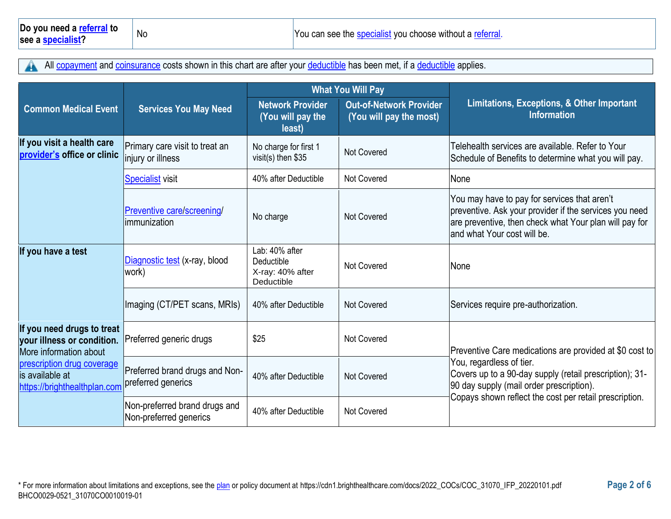All [copayment](https://www.healthcare.gov/sbc-glossary/#copayment) and [coinsurance](https://www.healthcare.gov/sbc-glossary/#coinsurance) costs shown in this chart are after your [deductible](https://www.healthcare.gov/sbc-glossary/#deductible) has been met, if a deductible applies. A

|                                                                                    |                                                         | <b>What You Will Pay</b>                                       |                                                           |                                                                                                                                                                                                  |
|------------------------------------------------------------------------------------|---------------------------------------------------------|----------------------------------------------------------------|-----------------------------------------------------------|--------------------------------------------------------------------------------------------------------------------------------------------------------------------------------------------------|
| <b>Common Medical Event</b>                                                        | <b>Services You May Need</b>                            | <b>Network Provider</b><br>(You will pay the<br>least)         | <b>Out-of-Network Provider</b><br>(You will pay the most) | Limitations, Exceptions, & Other Important<br><b>Information</b>                                                                                                                                 |
| If you visit a health care<br>provider's office or clinic                          | Primary care visit to treat an<br>injury or illness     | No charge for first 1<br>visit(s) then $$35$                   | <b>Not Covered</b>                                        | Telehealth services are available. Refer to Your<br>Schedule of Benefits to determine what you will pay.                                                                                         |
|                                                                                    | <b>Specialist visit</b>                                 | 40% after Deductible                                           | Not Covered                                               | None                                                                                                                                                                                             |
|                                                                                    | Preventive care/screening/<br>limmunization             | No charge                                                      | <b>Not Covered</b>                                        | You may have to pay for services that aren't<br>preventive. Ask your provider if the services you need<br>are preventive, then check what Your plan will pay for<br>land what Your cost will be. |
| If you have a test                                                                 | Diagnostic test (x-ray, blood<br>work)                  | Lab: 40% after<br>Deductible<br>X-ray: 40% after<br>Deductible | <b>Not Covered</b>                                        | None                                                                                                                                                                                             |
|                                                                                    | Imaging (CT/PET scans, MRIs)                            | 40% after Deductible                                           | <b>Not Covered</b>                                        | Services require pre-authorization.                                                                                                                                                              |
| If you need drugs to treat<br>your illness or condition.<br>More information about | Preferred generic drugs                                 | \$25                                                           | Not Covered                                               | Preventive Care medications are provided at \$0 cost to                                                                                                                                          |
| prescription drug coverage<br>is available at<br>https://brighthealthplan.com      | Preferred brand drugs and Non-<br>preferred generics    | 40% after Deductible                                           | <b>Not Covered</b>                                        | You, regardless of tier.<br>Covers up to a 90-day supply (retail prescription); 31-<br>90 day supply (mail order prescription).<br>Copays shown reflect the cost per retail prescription.        |
|                                                                                    | Non-preferred brand drugs and<br>Non-preferred generics | 40% after Deductible                                           | <b>Not Covered</b>                                        |                                                                                                                                                                                                  |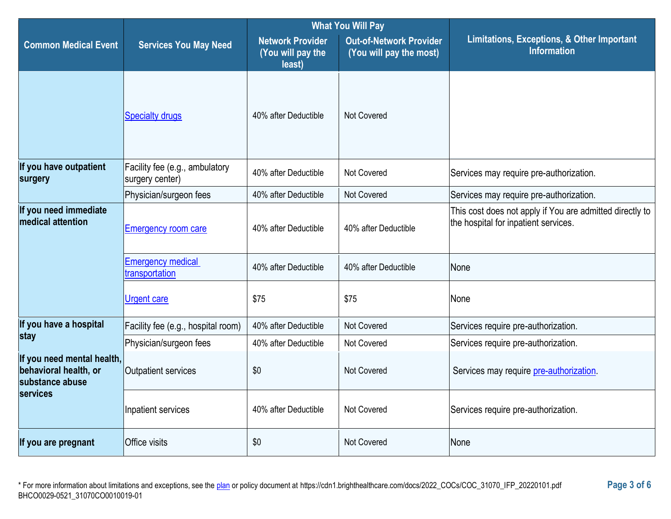|                                                                        |                                                   | <b>What You Will Pay</b>                               |                                                           |                                                                                                  |  |
|------------------------------------------------------------------------|---------------------------------------------------|--------------------------------------------------------|-----------------------------------------------------------|--------------------------------------------------------------------------------------------------|--|
| <b>Common Medical Event</b>                                            | <b>Services You May Need</b>                      | <b>Network Provider</b><br>(You will pay the<br>least) | <b>Out-of-Network Provider</b><br>(You will pay the most) | <b>Limitations, Exceptions, &amp; Other Important</b><br><b>Information</b>                      |  |
|                                                                        | <b>Specialty drugs</b>                            | 40% after Deductible                                   | Not Covered                                               |                                                                                                  |  |
| If you have outpatient<br>surgery                                      | Facility fee (e.g., ambulatory<br>surgery center) | 40% after Deductible                                   | <b>Not Covered</b>                                        | Services may require pre-authorization.                                                          |  |
|                                                                        | Physician/surgeon fees                            | 40% after Deductible                                   | Not Covered                                               | Services may require pre-authorization.                                                          |  |
| If you need immediate<br>medical attention                             | <b>Emergency room care</b>                        | 40% after Deductible                                   | 40% after Deductible                                      | This cost does not apply if You are admitted directly to<br>the hospital for inpatient services. |  |
|                                                                        | <b>Emergency medical</b><br>transportation        | 40% after Deductible                                   | 40% after Deductible                                      | None                                                                                             |  |
|                                                                        | <b>Urgent care</b>                                | \$75                                                   | \$75                                                      | None                                                                                             |  |
| If you have a hospital<br>stay                                         | Facility fee (e.g., hospital room)                | 40% after Deductible                                   | <b>Not Covered</b>                                        | Services require pre-authorization.                                                              |  |
|                                                                        | Physician/surgeon fees                            | 40% after Deductible                                   | Not Covered                                               | Services require pre-authorization.                                                              |  |
| If you need mental health,<br>behavioral health, or<br>substance abuse | Outpatient services                               | \$0                                                    | <b>Not Covered</b>                                        | Services may require pre-authorization.                                                          |  |
| <b>services</b>                                                        | Inpatient services                                | 40% after Deductible                                   | Not Covered                                               | Services require pre-authorization.                                                              |  |
| If you are pregnant                                                    | Office visits                                     | \$0                                                    | <b>Not Covered</b>                                        | None                                                                                             |  |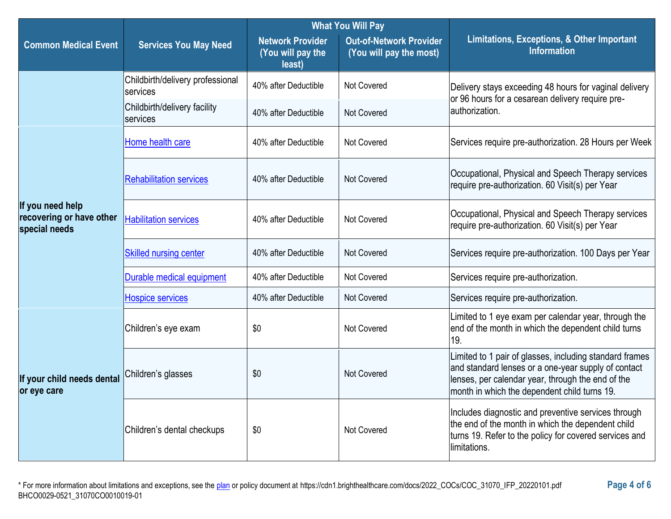|                                                               |                                              | <b>What You Will Pay</b>                               |                                                           |                                                                                                                                                                                                                     |
|---------------------------------------------------------------|----------------------------------------------|--------------------------------------------------------|-----------------------------------------------------------|---------------------------------------------------------------------------------------------------------------------------------------------------------------------------------------------------------------------|
| <b>Common Medical Event</b>                                   | <b>Services You May Need</b>                 | <b>Network Provider</b><br>(You will pay the<br>least) | <b>Out-of-Network Provider</b><br>(You will pay the most) | <b>Limitations, Exceptions, &amp; Other Important</b><br><b>Information</b>                                                                                                                                         |
|                                                               | Childbirth/delivery professional<br>services | 40% after Deductible                                   | Not Covered                                               | Delivery stays exceeding 48 hours for vaginal delivery<br>or 96 hours for a cesarean delivery require pre-                                                                                                          |
|                                                               | Childbirth/delivery facility<br>services     | 40% after Deductible                                   | Not Covered                                               | lauthorization.                                                                                                                                                                                                     |
|                                                               | Home health care                             | 40% after Deductible                                   | Not Covered                                               | Services require pre-authorization. 28 Hours per Week                                                                                                                                                               |
|                                                               | <b>Rehabilitation services</b>               | 40% after Deductible                                   | Not Covered                                               | Occupational, Physical and Speech Therapy services<br>require pre-authorization. 60 Visit(s) per Year                                                                                                               |
| If you need help<br>recovering or have other<br>special needs | <b>Habilitation services</b>                 | 40% after Deductible                                   | Not Covered                                               | Occupational, Physical and Speech Therapy services<br>require pre-authorization. 60 Visit(s) per Year                                                                                                               |
|                                                               | <b>Skilled nursing center</b>                | 40% after Deductible                                   | Not Covered                                               | Services require pre-authorization. 100 Days per Year                                                                                                                                                               |
|                                                               | Durable medical equipment                    | 40% after Deductible                                   | Not Covered                                               | Services require pre-authorization.                                                                                                                                                                                 |
|                                                               | <b>Hospice services</b>                      | 40% after Deductible                                   | Not Covered                                               | Services require pre-authorization.                                                                                                                                                                                 |
|                                                               | Children's eye exam                          | \$0                                                    | Not Covered                                               | Limited to 1 eye exam per calendar year, through the<br>end of the month in which the dependent child turns<br>19.                                                                                                  |
| If your child needs dental<br>or eye care                     | Children's glasses                           | \$0                                                    | Not Covered                                               | Limited to 1 pair of glasses, including standard frames<br>and standard lenses or a one-year supply of contact<br>lenses, per calendar year, through the end of the<br>month in which the dependent child turns 19. |
|                                                               | Children's dental checkups                   | \$0                                                    | Not Covered                                               | Includes diagnostic and preventive services through<br>the end of the month in which the dependent child<br>turns 19. Refer to the policy for covered services and<br>limitations.                                  |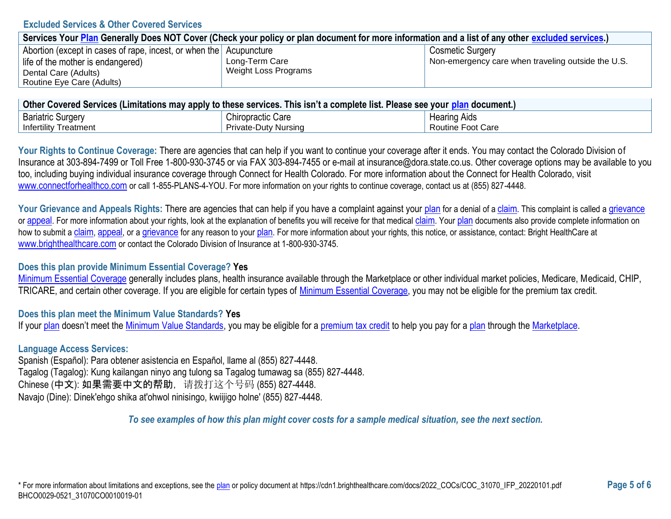### **Excluded Services & Other Covered Services**

| Services Your Plan Generally Does NOT Cover (Check your policy or plan document for more information and a list of any other excluded services.) |                      |                                                    |  |  |
|--------------------------------------------------------------------------------------------------------------------------------------------------|----------------------|----------------------------------------------------|--|--|
| Abortion (except in cases of rape, incest, or when the Acupuncture                                                                               |                      | <b>Cosmetic Surgery</b>                            |  |  |
| life of the mother is endangered)                                                                                                                | Long-Term Care       | Non-emergency care when traveling outside the U.S. |  |  |
| Dental Care (Adults)                                                                                                                             | Weight Loss Programs |                                                    |  |  |
| Routine Eye Care (Adults)                                                                                                                        |                      |                                                    |  |  |

| ∣ Other Covered Services (Limitations may apply to these services. This isn't a complete list. Please see your <u>plan</u> document.) ⊺ |                             |                     |  |
|-----------------------------------------------------------------------------------------------------------------------------------------|-----------------------------|---------------------|--|
| <b>Bariatric Surgery</b>                                                                                                                | <b>Chiropractic Care</b>    | <b>Hearing Aids</b> |  |
| <b>Infertility Treatment</b>                                                                                                            | <b>Private-Duty Nursing</b> | Routine Foot Care   |  |

Your Rights to Continue Coverage: There are agencies that can help if you want to continue your coverage after it ends. You may contact the Colorado Division of Insurance at 303-894-7499 or Toll Free 1-800-930-3745 or via FAX 303-894-7455 or e-mail at insurance@dora.state.co.us. Other coverage options may be available to you too, including buying individual insurance coverage through Connect for Health Colorado. For more information about the Connect for Health Colorado, visit [www.connectforhealthco.com](https://www.connectforhealthco.com/) or call 1-855-PLANS-4-YOU. For more information on your rights to continue coverage, contact us at (855) 827-4448.

Your Grievance and Appeals Rights: There are agencies that can help if you have a complaint against your [plan](https://www.healthcare.gov/sbc-glossary/#plan) for a denial of a [claim](https://www.healthcare.gov/sbc-glossary/#claim). This complaint is called a [grievance](https://www.healthcare.gov/sbc-glossary/#grievance) or [appeal](https://www.healthcare.gov/sbc-glossary/#appeal). For more information about your rights, look at the explanation of benefits you will receive for that medical [claim](https://www.healthcare.gov/sbc-glossary/#claim). Your [plan](https://www.healthcare.gov/sbc-glossary/#plan) documents also provide complete information on how to submit a [claim](https://www.healthcare.gov/sbc-glossary/#claim), [appeal](https://www.healthcare.gov/sbc-glossary/#appeal), or a [grievance](https://www.healthcare.gov/sbc-glossary/#grievance) for any reason to your [plan](https://www.healthcare.gov/sbc-glossary/#plan). For more information about your rights, this notice, or assistance, contact: Bright HealthCare at [www.brighthealthcare.com](https://brighthealthplan.com/) or contact the Colorado Division of Insurance at 1-800-930-3745.

## **Does this plan provide Minimum Essential Coverage? Yes**

[Minimum Essential Coverage](https://www.healthcare.gov/sbc-glossary/#minimum-essential-coverage) generally includes plans, health insurance available through the Marketplace or other individual market policies, Medicare, Medicaid, CHIP, TRICARE, and certain other coverage. If you are eligible for certain types of [Minimum Essential Coverage,](https://www.healthcare.gov/sbc-glossary/#minimum-essential-coverage) you may not be eligible for the premium tax credit.

## **Does this plan meet the Minimum Value Standards? Yes**

If you[r plan](https://www.healthcare.gov/sbc-glossary/#plan) doesn't meet the [Minimum Value Standards,](https://www.healthcare.gov/sbc-glossary/#minimum-value-standard) you may be eligible for a [premium tax credit](https://www.healthcare.gov/sbc-glossary/#premium-tax-credits) to help you pay for a [plan](https://www.healthcare.gov/sbc-glossary/#plan) through the [Marketplace.](https://www.healthcare.gov/sbc-glossary/#marketplace)

### **Language Access Services:**

Spanish (Español): Para obtener asistencia en Español, llame al (855) 827-4448. Tagalog (Tagalog): Kung kailangan ninyo ang tulong sa Tagalog tumawag sa (855) 827-4448. Chinese (中文): 如果需要中文的帮助,请拨打这个号码 (855) 827-4448. Navajo (Dine): Dinek'ehgo shika at'ohwol ninisingo, kwiijigo holne' (855) 827-4448.

*To see examples of how this plan might cover costs for a sample medical situation, see the next section.*